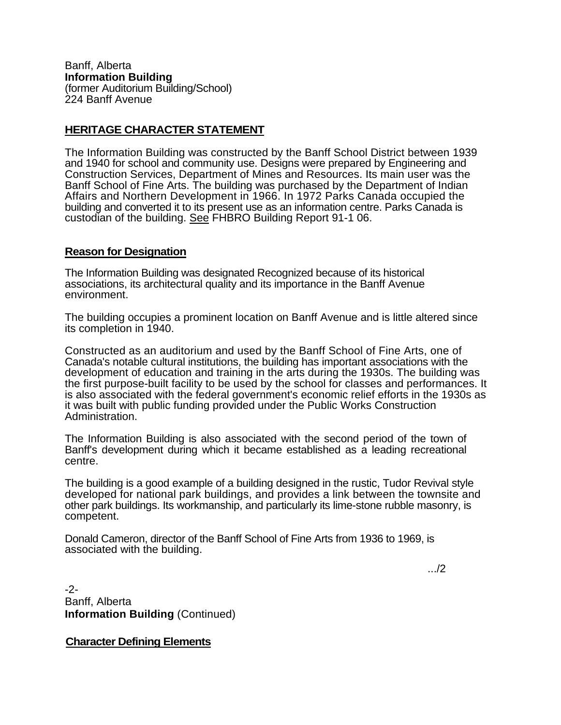Banff, Alberta **Information Building**  (former Auditorium Building/School) 224 Banff Avenue

## **HERITAGE CHARACTER STATEMENT**

The Information Building was constructed by the Banff School District between 1939 and 1940 for school and community use. Designs were prepared by Engineering and Construction Services, Department of Mines and Resources. Its main user was the Banff School of Fine Arts. The building was purchased by the Department of Indian Affairs and Northern Development in 1966. In 1972 Parks Canada occupied the building and converted it to its present use as an information centre. Parks Canada is custodian of the building. See FHBRO Building Report 91-1 06.

## **Reason for Designation**

The Information Building was designated Recognized because of its historical associations, its architectural quality and its importance in the Banff Avenue environment.

The building occupies a prominent location on Banff Avenue and is little altered since its completion in 1940.

Constructed as an auditorium and used by the Banff School of Fine Arts, one of Canada's notable cultural institutions, the building has important associations with the development of education and training in the arts during the 1930s. The building was the first purpose-built facility to be used by the school for classes and performances. It is also associated with the federal government's economic relief efforts in the 1930s as it was built with public funding provided under the Public Works Construction Administration.

The Information Building is also associated with the second period of the town of Banff's development during which it became established as a leading recreational centre.

The building is a good example of a building designed in the rustic, Tudor Revival style developed for national park buildings, and provides a link between the townsite and other park buildings. Its workmanship, and particularly its lime-stone rubble masonry, is competent.

Donald Cameron, director of the Banff School of Fine Arts from 1936 to 1969, is associated with the building.

.../2

-2- Banff, Alberta **Information Building** (Continued)

**Character Defining Elements**